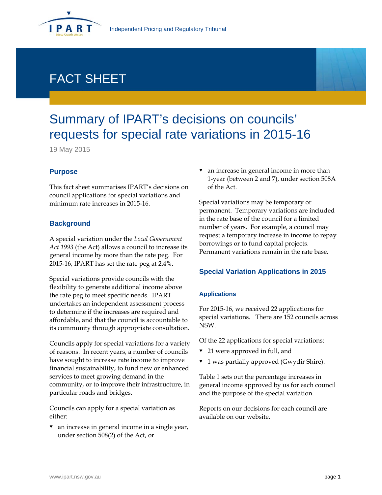

# FACT SHEET

# Summary of IPART's decisions on councils' requests for special rate variations in 2015-16

19 May 2015

# **Purpose**

This fact sheet summarises IPART's decisions on council applications for special variations and minimum rate increases in 2015-16.

# **Background**

A special variation under the *Local Government Act 1993* (the Act) allows a council to increase its general income by more than the rate peg. For 2015-16, IPART has set the rate peg at 2.4%.

Special variations provide councils with the flexibility to generate additional income above the rate peg to meet specific needs. IPART undertakes an independent assessment process to determine if the increases are required and affordable, and that the council is accountable to its community through appropriate consultation.

Councils apply for special variations for a variety of reasons. In recent years, a number of councils have sought to increase rate income to improve financial sustainability, to fund new or enhanced services to meet growing demand in the community, or to improve their infrastructure, in particular roads and bridges.

Councils can apply for a special variation as either:

 $\bullet$  an increase in general income in a single year, under section 508(2) of the Act, or

 an increase in general income in more than 1-year (between 2 and 7), under section 508A of the Act.

Special variations may be temporary or permanent. Temporary variations are included in the rate base of the council for a limited number of years. For example, a council may request a temporary increase in income to repay borrowings or to fund capital projects. Permanent variations remain in the rate base.

# **Special Variation Applications in 2015**

#### **Applications**

For 2015-16, we received 22 applications for special variations. There are 152 councils across NSW.

Of the 22 applications for special variations:

- 21 were approved in full, and
- 1 was partially approved (Gwydir Shire).

Table 1 sets out the percentage increases in general income approved by us for each council and the purpose of the special variation.

Reports on our decisions for each council are available on our website.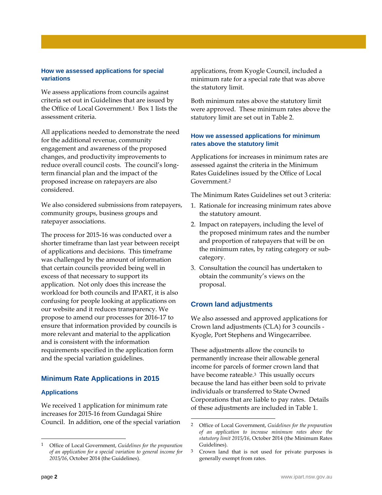#### **How we assessed applications for special variations**

We assess applications from councils against criteria set out in Guidelines that are issued by the Office of Local Government.1 Box 1 lists the assessment criteria.

All applications needed to demonstrate the need for the additional revenue, community engagement and awareness of the proposed changes, and productivity improvements to reduce overall council costs. The council's longterm financial plan and the impact of the proposed increase on ratepayers are also considered.

We also considered submissions from ratepayers, community groups, business groups and ratepayer associations.

The process for 2015-16 was conducted over a shorter timeframe than last year between receipt of applications and decisions. This timeframe was challenged by the amount of information that certain councils provided being well in excess of that necessary to support its application. Not only does this increase the workload for both councils and IPART, it is also confusing for people looking at applications on our website and it reduces transparency. We propose to amend our processes for 2016-17 to ensure that information provided by councils is more relevant and material to the application and is consistent with the information requirements specified in the application form and the special variation guidelines.

# **Minimum Rate Applications in 2015**

#### **Applications**

We received 1 application for minimum rate increases for 2015-16 from Gundagai Shire Council. In addition, one of the special variation applications, from Kyogle Council, included a minimum rate for a special rate that was above the statutory limit.

Both minimum rates above the statutory limit were approved. These minimum rates above the statutory limit are set out in Table 2.

### **How we assessed applications for minimum rates above the statutory limit**

Applications for increases in minimum rates are assessed against the criteria in the Minimum Rates Guidelines issued by the Office of Local Government.2

The Minimum Rates Guidelines set out 3 criteria:

- 1. Rationale for increasing minimum rates above the statutory amount.
- 2. Impact on ratepayers, including the level of the proposed minimum rates and the number and proportion of ratepayers that will be on the minimum rates, by rating category or subcategory.
- 3. Consultation the council has undertaken to obtain the community's views on the proposal.

# **Crown land adjustments**

-

We also assessed and approved applications for Crown land adjustments (CLA) for 3 councils - Kyogle, Port Stephens and Wingecarribee.

These adjustments allow the councils to permanently increase their allowable general income for parcels of former crown land that have become rateable.3 This usually occurs because the land has either been sold to private individuals or transferred to State Owned Corporations that are liable to pay rates. Details of these adjustments are included in Table 1.

 $\overline{a}$ 

<sup>1</sup> Office of Local Government, *Guidelines for the preparation of an application for a special variation to general income for 2015/16*, October 2014 (the Guidelines).

<sup>2</sup> Office of Local Government, *Guidelines for the preparation of an application to increase minimum rates above the statutory limit 2015/16*, October 2014 (the Minimum Rates Guidelines).

<sup>3</sup> Crown land that is not used for private purposes is generally exempt from rates.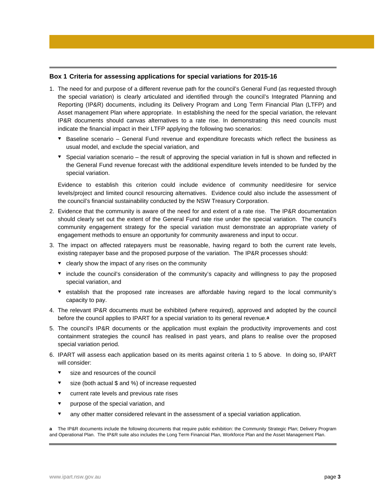#### **Box 1 Criteria for assessing applications for special variations for 2015-16**

- 1. The need for and purpose of a different revenue path for the council's General Fund (as requested through the special variation) is clearly articulated and identified through the council's Integrated Planning and Reporting (IP&R) documents, including its Delivery Program and Long Term Financial Plan (LTFP) and Asset management Plan where appropriate. In establishing the need for the special variation, the relevant IP&R documents should canvas alternatives to a rate rise. In demonstrating this need councils must indicate the financial impact in their LTFP applying the following two scenarios:
	- $\bullet$  Baseline scenario General Fund revenue and expenditure forecasts which reflect the business as usual model, and exclude the special variation, and
	- Special variation scenario the result of approving the special variation in full is shown and reflected in the General Fund revenue forecast with the additional expenditure levels intended to be funded by the special variation.

Evidence to establish this criterion could include evidence of community need/desire for service levels/project and limited council resourcing alternatives. Evidence could also include the assessment of the council's financial sustainability conducted by the NSW Treasury Corporation.

- 2. Evidence that the community is aware of the need for and extent of a rate rise. The IP&R documentation should clearly set out the extent of the General Fund rate rise under the special variation. The council's community engagement strategy for the special variation must demonstrate an appropriate variety of engagement methods to ensure an opportunity for community awareness and input to occur.
- 3. The impact on affected ratepayers must be reasonable, having regard to both the current rate levels, existing ratepayer base and the proposed purpose of the variation. The IP&R processes should:
	- $\bullet$  clearly show the impact of any rises on the community
	- include the council's consideration of the community's capacity and willingness to pay the proposed special variation, and
	- establish that the proposed rate increases are affordable having regard to the local community's capacity to pay.
- 4. The relevant IP&R documents must be exhibited (where required), approved and adopted by the council before the council applies to IPART for a special variation to its general revenue.**a**
- 5. The council's IP&R documents or the application must explain the productivity improvements and cost containment strategies the council has realised in past years, and plans to realise over the proposed special variation period.
- 6. IPART will assess each application based on its merits against criteria 1 to 5 above. In doing so, IPART will consider:
	- $\bullet$  size and resources of the council
	- size (both actual \$ and %) of increase requested
	- v current rate levels and previous rate rises
	- $\bullet$  purpose of the special variation, and
	- any other matter considered relevant in the assessment of a special variation application.

**a** The IP&R documents include the following documents that require public exhibition: the Community Strategic Plan; Delivery Program and Operational Plan. The IP&R suite also includes the Long Term Financial Plan, Workforce Plan and the Asset Management Plan.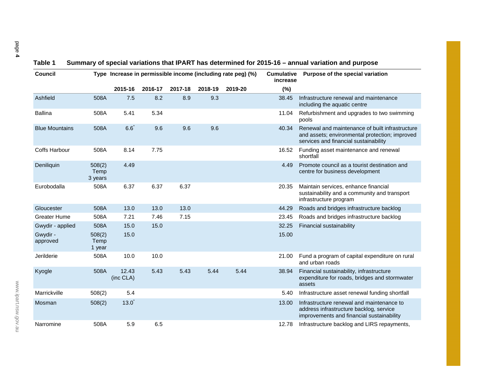| <b>Council</b>        |                           | Type Increase in permissible income (including rate peg) (%) |         |         |         | <b>Cumulative</b><br>increase | Purpose of the special variation |                                                                                                                                            |
|-----------------------|---------------------------|--------------------------------------------------------------|---------|---------|---------|-------------------------------|----------------------------------|--------------------------------------------------------------------------------------------------------------------------------------------|
|                       |                           | 2015-16                                                      | 2016-17 | 2017-18 | 2018-19 | 2019-20                       | (%)                              |                                                                                                                                            |
| Ashfield              | 508A                      | 7.5                                                          | 8.2     | 8.9     | 9.3     |                               | 38.45                            | Infrastructure renewal and maintenance<br>including the aquatic centre                                                                     |
| <b>Ballina</b>        | 508A                      | 5.41                                                         | 5.34    |         |         |                               | 11.04                            | Refurbishment and upgrades to two swimming<br>pools                                                                                        |
| <b>Blue Mountains</b> | 508A                      | 6.6                                                          | 9.6     | 9.6     | 9.6     |                               | 40.34                            | Renewal and maintenance of built infrastructure<br>and assets; environmental protection; improved<br>services and financial sustainability |
| <b>Coffs Harbour</b>  | 508A                      | 8.14                                                         | 7.75    |         |         |                               | 16.52                            | Funding asset maintenance and renewal<br>shortfall                                                                                         |
| Deniliquin            | 508(2)<br>Temp<br>3 years | 4.49                                                         |         |         |         |                               | 4.49                             | Promote council as a tourist destination and<br>centre for business development                                                            |
| Eurobodalla           | 508A                      | 6.37                                                         | 6.37    | 6.37    |         |                               | 20.35                            | Maintain services, enhance financial<br>sustainability and a community and transport<br>infrastructure program                             |
| Gloucester            | 508A                      | 13.0                                                         | 13.0    | 13.0    |         |                               | 44.29                            | Roads and bridges infrastructure backlog                                                                                                   |
| <b>Greater Hume</b>   | 508A                      | 7.21                                                         | 7.46    | 7.15    |         |                               | 23.45                            | Roads and bridges infrastructure backlog                                                                                                   |
| Gwydir - applied      | 508A                      | 15.0                                                         | 15.0    |         |         |                               | 32.25                            | Financial sustainability                                                                                                                   |
| Gwydir -<br>approved  | 508(2)<br>Temp<br>1 year  | 15.0                                                         |         |         |         |                               | 15.00                            |                                                                                                                                            |
| Jerilderie            | 508A                      | 10.0                                                         | 10.0    |         |         |                               | 21.00                            | Fund a program of capital expenditure on rural<br>and urban roads                                                                          |
| Kyogle                | 508A                      | 12.43<br>(inc CLA)                                           | 5.43    | 5.43    | 5.44    | 5.44                          | 38.94                            | Financial sustainability, infrastructure<br>expenditure for roads, bridges and stormwater<br>assets                                        |
| Marrickville          | 508(2)                    | 5.4                                                          |         |         |         |                               | 5.40                             | Infrastructure asset renewal funding shortfall                                                                                             |
| Mosman                | 508(2)                    | 13.0                                                         |         |         |         |                               | 13.00                            | Infrastructure renewal and maintenance to<br>address infrastructure backlog, service<br>improvements and financial sustainability          |
| Narromine             | 508A                      | 5.9                                                          | 6.5     |         |         |                               | 12.78                            | Infrastructure backlog and LIRS repayments,                                                                                                |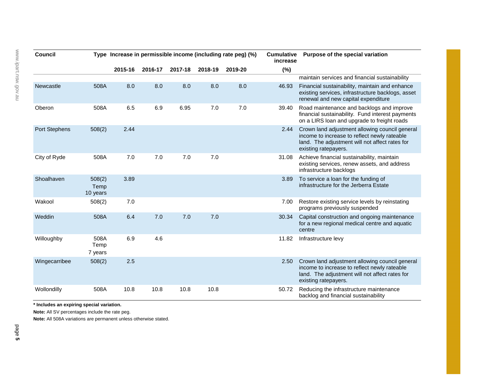| <b>Council</b> |                            | Type Increase in permissible income (including rate peg) (%) |         |         |         |         | <b>Cumulative</b><br>increase | Purpose of the special variation                                                                                                                                         |  |
|----------------|----------------------------|--------------------------------------------------------------|---------|---------|---------|---------|-------------------------------|--------------------------------------------------------------------------------------------------------------------------------------------------------------------------|--|
|                |                            | 2015-16                                                      | 2016-17 | 2017-18 | 2018-19 | 2019-20 | (%)                           |                                                                                                                                                                          |  |
|                |                            |                                                              |         |         |         |         |                               | maintain services and financial sustainability                                                                                                                           |  |
| Newcastle      | 508A                       | 8.0                                                          | 8.0     | 8.0     | 8.0     | 8.0     | 46.93                         | Financial sustainability, maintain and enhance<br>existing services, infrastructure backlogs, asset<br>renewal and new capital expenditure                               |  |
| Oberon         | 508A                       | 6.5                                                          | 6.9     | 6.95    | 7.0     | 7.0     | 39.40                         | Road maintenance and backlogs and improve<br>financial sustainability. Fund interest payments<br>on a LIRS loan and upgrade to freight roads                             |  |
| Port Stephens  | 508(2)                     | 2.44                                                         |         |         |         |         | 2.44                          | Crown land adjustment allowing council general<br>income to increase to reflect newly rateable<br>land. The adjustment will not affect rates for<br>existing ratepayers. |  |
| City of Ryde   | 508A                       | 7.0                                                          | 7.0     | 7.0     | 7.0     |         | 31.08                         | Achieve financial sustainability, maintain<br>existing services, renew assets, and address<br>infrastructure backlogs                                                    |  |
| Shoalhaven     | 508(2)<br>Temp<br>10 years | 3.89                                                         |         |         |         |         | 3.89                          | To service a loan for the funding of<br>infrastructure for the Jerberra Estate                                                                                           |  |
| Wakool         | 508(2)                     | 7.0                                                          |         |         |         |         | 7.00                          | Restore existing service levels by reinstating<br>programs previously suspended                                                                                          |  |
| Weddin         | 508A                       | 6.4                                                          | 7.0     | 7.0     | 7.0     |         | 30.34                         | Capital construction and ongoing maintenance<br>for a new regional medical centre and aquatic<br>centre                                                                  |  |
| Willoughby     | 508A<br>Temp<br>7 years    | 6.9                                                          | 4.6     |         |         |         | 11.82                         | Infrastructure levy                                                                                                                                                      |  |
| Wingecarribee  | 508(2)                     | 2.5                                                          |         |         |         |         | 2.50                          | Crown land adjustment allowing council general<br>income to increase to reflect newly rateable<br>land. The adjustment will not affect rates for<br>existing ratepayers. |  |
| Wollondilly    | 508A                       | 10.8                                                         | 10.8    | 10.8    | 10.8    |         | 50.72                         | Reducing the infrastructure maintenance<br>backlog and financial sustainability                                                                                          |  |

**\* Includes an expiring special variation.** 

**Note:** All SV percentages include the rate peg.

**Note:** All 508A variations are permanent unless otherwise stated.